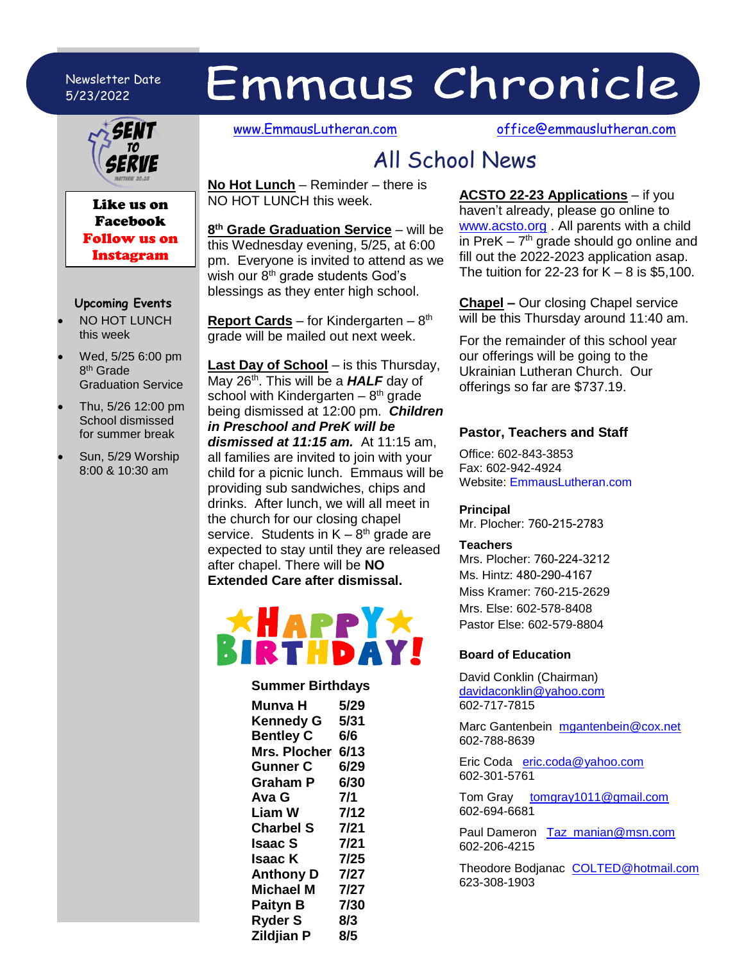## Newsletter Date 5/23/2022



Like us on Facebook Follow us on Instagram

## **Upcoming Events**

- NO HOT LUNCH this week
- Wed, 5/25 6:00 pm 8<sup>th</sup> Grade Graduation Service
- Thu, 5/26 12:00 pm School dismissed for summer break
- Sun, 5/29 Worship 8:00 & 10:30 am

[www.EmmausLutheran.com](http://www.emmauslutheran.com/) [office@emmauslutheran.com](mailto:office@emmauslutheran.com)

# All School News

Emmaus Chronicle

**No Hot Lunch** – Reminder – there is NO HOT LUNCH this week.

**8 th Grade Graduation Service** – will be this Wednesday evening, 5/25, at 6:00 pm. Everyone is invited to attend as we wish our  $8<sup>th</sup>$  grade students God's blessings as they enter high school.

**Report Cards** – for Kindergarten – 8 th grade will be mailed out next week.

**Last Day of School** – is this Thursday, May 26<sup>th</sup>. This will be a **HALF** day of school with Kindergarten  $-8<sup>th</sup>$  grade being dismissed at 12:00 pm. *Children in Preschool and PreK will be dismissed at 11:15 am.* At 11:15 am, all families are invited to join with your child for a picnic lunch. Emmaus will be providing sub sandwiches, chips and drinks. After lunch, we will all meet in the church for our closing chapel service. Students in  $K - 8<sup>th</sup>$  grade are expected to stay until they are released after chapel. There will be **NO Extended Care after dismissal.**



## **Summer Birthdays**

| Munva H             | 5/29 |
|---------------------|------|
| <b>Kennedy G</b>    | 5/31 |
| <b>Bentley C</b>    | 6/6  |
| <b>Mrs. Plocher</b> | 6/13 |
| <b>Gunner C</b>     | 6/29 |
| <b>Graham P</b>     | 6/30 |
| Ava G               | 7/1  |
| <b>Liam W</b>       | 7/12 |
| <b>Charbel S</b>    | 7/21 |
| Isaac S             | 7/21 |
| Isaac K             | 7/25 |
| <b>Anthony D</b>    | 7/27 |
| <b>Michael M</b>    | 7/27 |
| Paityn B            | 7/30 |
| <b>Ryder S</b>      | 8/3  |
| <b>Zildjian P</b>   | 8/5  |

**ACSTO 22-23 Applications** – if you haven't already, please go online to [www.acsto.org](http://www.acsto.org/) . All parents with a child in PreK  $-7<sup>th</sup>$  grade should go online and fill out the 2022-2023 application asap. The tuition for 22-23 for  $K - 8$  is \$5,100.

**Chapel –** Our closing Chapel service will be this Thursday around 11:40 am.

For the remainder of this school year our offerings will be going to the Ukrainian Lutheran Church. Our offerings so far are \$737.19.

#### **Pastor, Teachers and Staff**

Office: 602-843-3853 Fax: 602-942-4924 Website: EmmausLutheran.com

### **Principal**

Mr. Plocher: 760-215-2783

#### **Teachers**

Mrs. Plocher: 760-224-3212 Ms. Hintz: 480-290-4167 Miss Kramer: 760-215-2629 Mrs. Else: 602-578-8408 Pastor Else: 602-579-8804

## **Board of Education**

David Conklin (Chairman) [davidaconklin@yahoo.com](mailto:davidaconklin@yahoo.com) 602-717-7815

Marc Gantenbein [mgantenbein@cox.net](mailto:mgantenbein@cox.net) 602-788-8639

Eric Coda [eric.coda@yahoo.com](mailto:eric.coda@yahoo.com)  602-301-5761

Tom Gray [tomgray1011@gmail.com](mailto:tomgray1011@gmail.com)  602-694-6681

Paul Dameron [Taz\\_manian@msn.com](mailto:Taz_manian@msn.com) 602-206-4215

Theodore Bodjanac [COLTED@hotmail.com](mailto:COLTED@hotmail.com)  623-308-1903